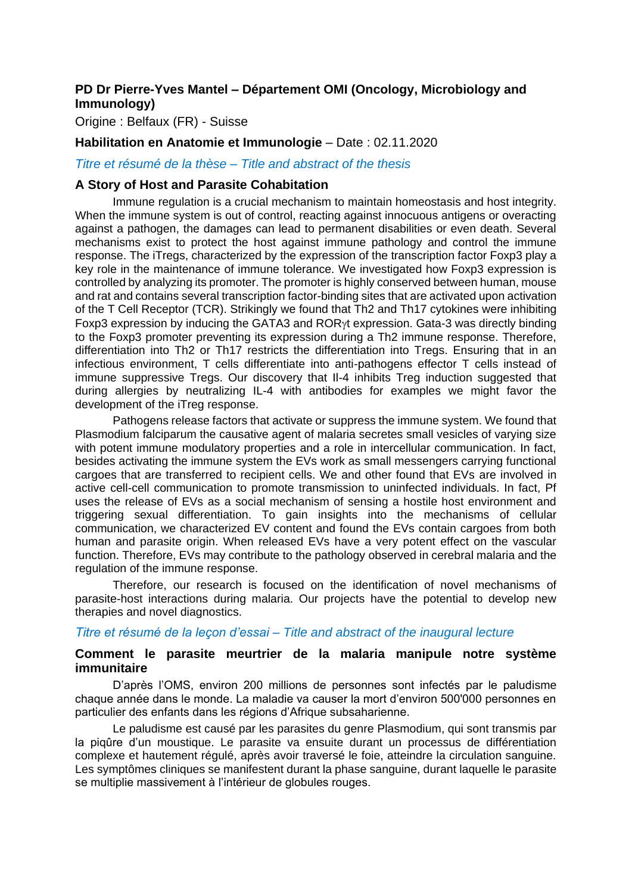# **PD Dr Pierre-Yves Mantel – Département OMI (Oncology, Microbiology and Immunology)**

Origine : Belfaux (FR) - Suisse

#### **Habilitation en Anatomie et Immunologie** – Date : 02.11.2020

## *Titre et résumé de la thèse – Title and abstract of the thesis*

#### **A Story of Host and Parasite Cohabitation**

Immune regulation is a crucial mechanism to maintain homeostasis and host integrity. When the immune system is out of control, reacting against innocuous antigens or overacting against a pathogen, the damages can lead to permanent disabilities or even death. Several mechanisms exist to protect the host against immune pathology and control the immune response. The iTregs, characterized by the expression of the transcription factor Foxp3 play a key role in the maintenance of immune tolerance. We investigated how Foxp3 expression is controlled by analyzing its promoter. The promoter is highly conserved between human, mouse and rat and contains several transcription factor-binding sites that are activated upon activation of the T Cell Receptor (TCR). Strikingly we found that Th2 and Th17 cytokines were inhibiting Foxp3 expression by inducing the GATA3 and ROR $\gamma$ t expression. Gata-3 was directly binding to the Foxp3 promoter preventing its expression during a Th2 immune response. Therefore, differentiation into Th2 or Th17 restricts the differentiation into Tregs. Ensuring that in an infectious environment, T cells differentiate into anti-pathogens effector T cells instead of immune suppressive Tregs. Our discovery that Il-4 inhibits Treg induction suggested that during allergies by neutralizing IL-4 with antibodies for examples we might favor the development of the iTreg response.

Pathogens release factors that activate or suppress the immune system. We found that Plasmodium falciparum the causative agent of malaria secretes small vesicles of varying size with potent immune modulatory properties and a role in intercellular communication. In fact, besides activating the immune system the EVs work as small messengers carrying functional cargoes that are transferred to recipient cells. We and other found that EVs are involved in active cell-cell communication to promote transmission to uninfected individuals. In fact, Pf uses the release of EVs as a social mechanism of sensing a hostile host environment and triggering sexual differentiation. To gain insights into the mechanisms of cellular communication, we characterized EV content and found the EVs contain cargoes from both human and parasite origin. When released EVs have a very potent effect on the vascular function. Therefore, EVs may contribute to the pathology observed in cerebral malaria and the regulation of the immune response.

Therefore, our research is focused on the identification of novel mechanisms of parasite-host interactions during malaria. Our projects have the potential to develop new therapies and novel diagnostics.

#### *Titre et résumé de la leçon d'essai – Title and abstract of the inaugural lecture*

## **Comment le parasite meurtrier de la malaria manipule notre système immunitaire**

D'après l'OMS, environ 200 millions de personnes sont infectés par le paludisme chaque année dans le monde. La maladie va causer la mort d'environ 500'000 personnes en particulier des enfants dans les régions d'Afrique subsaharienne.

Le paludisme est causé par les parasites du genre Plasmodium, qui sont transmis par la piqûre d'un moustique. Le parasite va ensuite durant un processus de différentiation complexe et hautement régulé, après avoir traversé le foie, atteindre la circulation sanguine. Les symptômes cliniques se manifestent durant la phase sanguine, durant laquelle le parasite se multiplie massivement à l'intérieur de globules rouges.